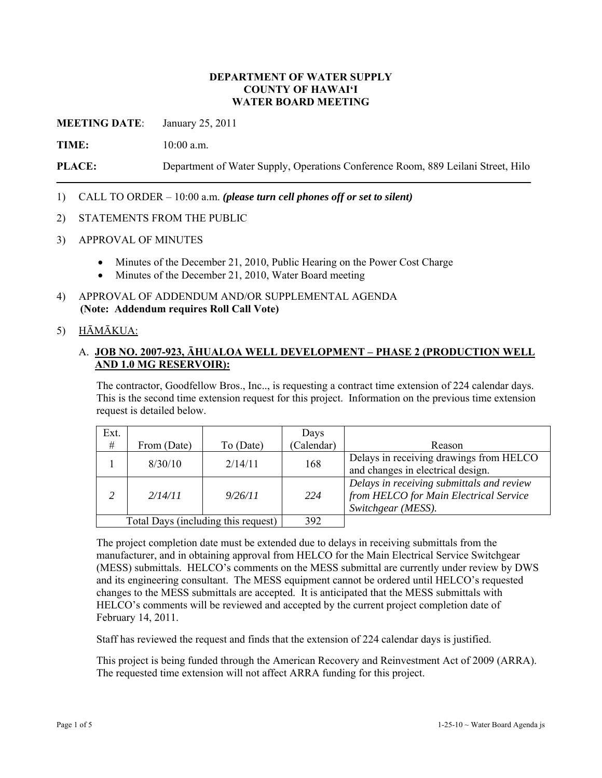### **DEPARTMENT OF WATER SUPPLY COUNTY OF HAWAI'I WATER BOARD MEETING**

**MEETING DATE**: January 25, 2011

**TIME:** 10:00 a.m.

**PLACE:** Department of Water Supply, Operations Conference Room, 889 Leilani Street, Hilo

1) CALL TO ORDER – 10:00 a.m. *(please turn cell phones off or set to silent)*

- 2) STATEMENTS FROM THE PUBLIC
- 3) APPROVAL OF MINUTES
	- Minutes of the December 21, 2010, Public Hearing on the Power Cost Charge
	- Minutes of the December 21, 2010, Water Board meeting
- 4) APPROVAL OF ADDENDUM AND/OR SUPPLEMENTAL AGENDA **(Note: Addendum requires Roll Call Vote)**

# 5) HĀMĀKUA:

### A. **JOB NO. 2007-923, ĀHUALOA WELL DEVELOPMENT – PHASE 2 (PRODUCTION WELL AND 1.0 MG RESERVOIR):**

The contractor, Goodfellow Bros., Inc.., is requesting a contract time extension of 224 calendar days. This is the second time extension request for this project. Information on the previous time extension request is detailed below.

| Ext.                                |             |           | Days      |                                                                                                           |
|-------------------------------------|-------------|-----------|-----------|-----------------------------------------------------------------------------------------------------------|
| #                                   | From (Date) | To (Date) | Calendar) | Reason                                                                                                    |
|                                     | 8/30/10     | 2/14/11   | 168       | Delays in receiving drawings from HELCO<br>and changes in electrical design.                              |
|                                     | 2/14/11     | 9/26/11   | 224       | Delays in receiving submittals and review<br>from HELCO for Main Electrical Service<br>Switchgear (MESS). |
| Total Days (including this request) |             |           | 392       |                                                                                                           |

The project completion date must be extended due to delays in receiving submittals from the manufacturer, and in obtaining approval from HELCO for the Main Electrical Service Switchgear (MESS) submittals. HELCO's comments on the MESS submittal are currently under review by DWS and its engineering consultant. The MESS equipment cannot be ordered until HELCO's requested changes to the MESS submittals are accepted. It is anticipated that the MESS submittals with HELCO's comments will be reviewed and accepted by the current project completion date of February 14, 2011.

Staff has reviewed the request and finds that the extension of 224 calendar days is justified.

This project is being funded through the American Recovery and Reinvestment Act of 2009 (ARRA). The requested time extension will not affect ARRA funding for this project.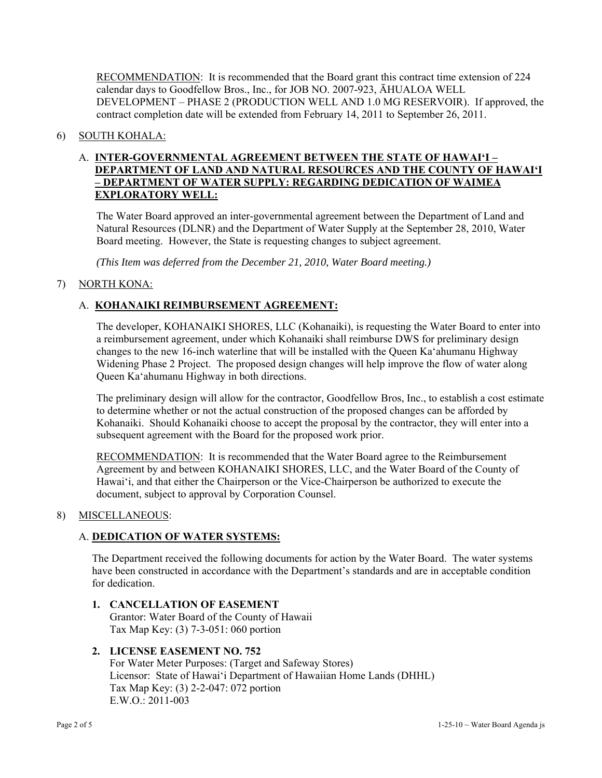RECOMMENDATION: It is recommended that the Board grant this contract time extension of 224 calendar days to Goodfellow Bros., Inc., for JOB NO. 2007-923, ĀHUALOA WELL DEVELOPMENT – PHASE 2 (PRODUCTION WELL AND 1.0 MG RESERVOIR). If approved, the contract completion date will be extended from February 14, 2011 to September 26, 2011.

# 6) SOUTH KOHALA:

# A. **INTER-GOVERNMENTAL AGREEMENT BETWEEN THE STATE OF HAWAI'I – DEPARTMENT OF LAND AND NATURAL RESOURCES AND THE COUNTY OF HAWAI'I – DEPARTMENT OF WATER SUPPLY: REGARDING DEDICATION OF WAIMEA EXPLORATORY WELL:**

The Water Board approved an inter-governmental agreement between the Department of Land and Natural Resources (DLNR) and the Department of Water Supply at the September 28, 2010, Water Board meeting. However, the State is requesting changes to subject agreement.

*(This Item was deferred from the December 21, 2010, Water Board meeting.)* 

# 7) NORTH KONA:

# A. **KOHANAIKI REIMBURSEMENT AGREEMENT:**

The developer, KOHANAIKI SHORES, LLC (Kohanaiki), is requesting the Water Board to enter into a reimbursement agreement, under which Kohanaiki shall reimburse DWS for preliminary design changes to the new 16-inch waterline that will be installed with the Queen Ka'ahumanu Highway Widening Phase 2 Project. The proposed design changes will help improve the flow of water along Queen Ka'ahumanu Highway in both directions.

The preliminary design will allow for the contractor, Goodfellow Bros, Inc., to establish a cost estimate to determine whether or not the actual construction of the proposed changes can be afforded by Kohanaiki. Should Kohanaiki choose to accept the proposal by the contractor, they will enter into a subsequent agreement with the Board for the proposed work prior.

RECOMMENDATION: It is recommended that the Water Board agree to the Reimbursement Agreement by and between KOHANAIKI SHORES, LLC, and the Water Board of the County of Hawai'i, and that either the Chairperson or the Vice-Chairperson be authorized to execute the document, subject to approval by Corporation Counsel.

### 8) MISCELLANEOUS:

### A. **DEDICATION OF WATER SYSTEMS:**

The Department received the following documents for action by the Water Board. The water systems have been constructed in accordance with the Department's standards and are in acceptable condition for dedication.

**1. CANCELLATION OF EASEMENT**  Grantor: Water Board of the County of Hawaii Tax Map Key: (3) 7-3-051: 060 portion

### **2. LICENSE EASEMENT NO. 752**

For Water Meter Purposes: (Target and Safeway Stores) Licensor: State of Hawai'i Department of Hawaiian Home Lands (DHHL) Tax Map Key: (3) 2-2-047: 072 portion  $E W O \cdot 2011 - 003$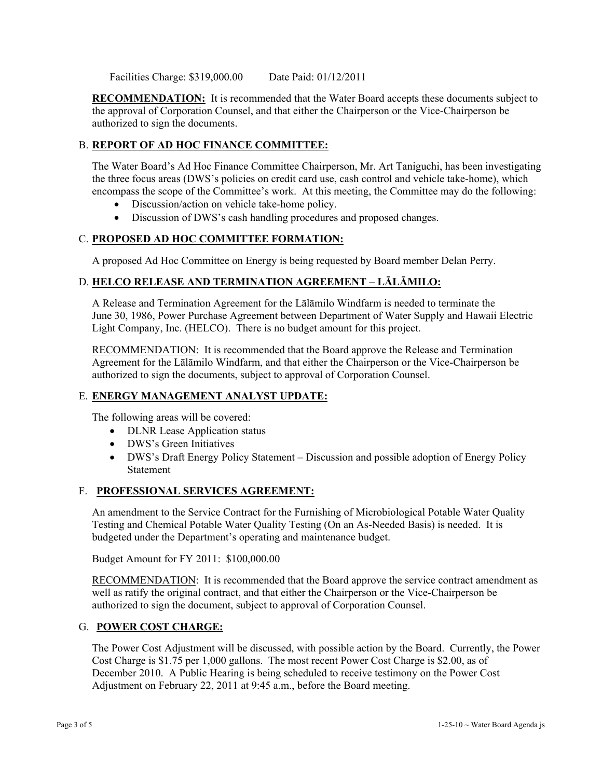Facilities Charge: \$319,000.00 Date Paid: 01/12/2011

**RECOMMENDATION:** It is recommended that the Water Board accepts these documents subject to the approval of Corporation Counsel, and that either the Chairperson or the Vice-Chairperson be authorized to sign the documents.

# B. **REPORT OF AD HOC FINANCE COMMITTEE:**

The Water Board's Ad Hoc Finance Committee Chairperson, Mr. Art Taniguchi, has been investigating the three focus areas (DWS's policies on credit card use, cash control and vehicle take-home), which encompass the scope of the Committee's work. At this meeting, the Committee may do the following:

- Discussion/action on vehicle take-home policy.
- Discussion of DWS's cash handling procedures and proposed changes.

# C. **PROPOSED AD HOC COMMITTEE FORMATION:**

A proposed Ad Hoc Committee on Energy is being requested by Board member Delan Perry.

# D. **HELCO RELEASE AND TERMINATION AGREEMENT – LĀLĀMILO:**

A Release and Termination Agreement for the Lālāmilo Windfarm is needed to terminate the June 30, 1986, Power Purchase Agreement between Department of Water Supply and Hawaii Electric Light Company, Inc. (HELCO). There is no budget amount for this project.

RECOMMENDATION: It is recommended that the Board approve the Release and Termination Agreement for the Lālāmilo Windfarm, and that either the Chairperson or the Vice-Chairperson be authorized to sign the documents, subject to approval of Corporation Counsel.

### E. **ENERGY MANAGEMENT ANALYST UPDATE:**

The following areas will be covered:

- DLNR Lease Application status
- DWS's Green Initiatives
- DWS's Draft Energy Policy Statement Discussion and possible adoption of Energy Policy Statement

### F. **PROFESSIONAL SERVICES AGREEMENT:**

An amendment to the Service Contract for the Furnishing of Microbiological Potable Water Quality Testing and Chemical Potable Water Quality Testing (On an As-Needed Basis) is needed. It is budgeted under the Department's operating and maintenance budget.

Budget Amount for FY 2011: \$100,000.00

RECOMMENDATION: It is recommended that the Board approve the service contract amendment as well as ratify the original contract, and that either the Chairperson or the Vice-Chairperson be authorized to sign the document, subject to approval of Corporation Counsel.

### G. **POWER COST CHARGE:**

The Power Cost Adjustment will be discussed, with possible action by the Board. Currently, the Power Cost Charge is \$1.75 per 1,000 gallons. The most recent Power Cost Charge is \$2.00, as of December 2010. A Public Hearing is being scheduled to receive testimony on the Power Cost Adjustment on February 22, 2011 at 9:45 a.m., before the Board meeting.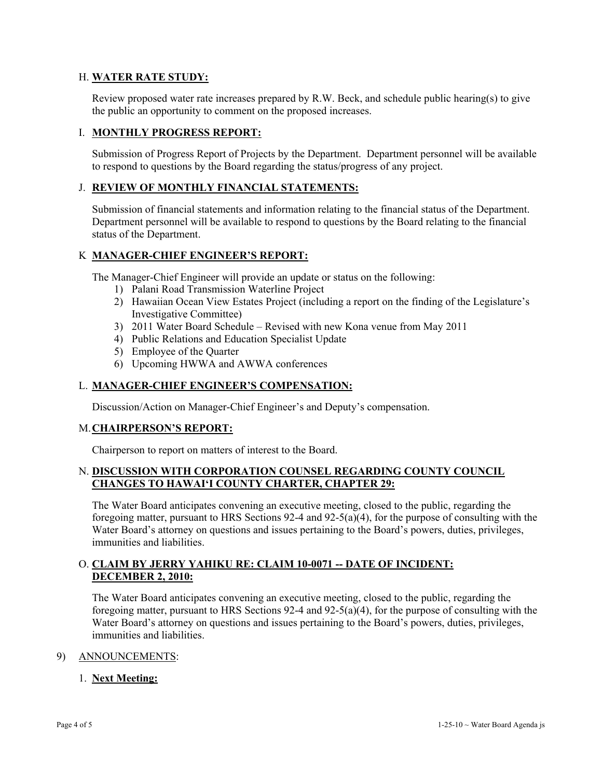## H. **WATER RATE STUDY:**

Review proposed water rate increases prepared by R.W. Beck, and schedule public hearing(s) to give the public an opportunity to comment on the proposed increases.

# I. **MONTHLY PROGRESS REPORT:**

Submission of Progress Report of Projects by the Department. Department personnel will be available to respond to questions by the Board regarding the status/progress of any project.

### J. **REVIEW OF MONTHLY FINANCIAL STATEMENTS:**

Submission of financial statements and information relating to the financial status of the Department. Department personnel will be available to respond to questions by the Board relating to the financial status of the Department.

## K **MANAGER-CHIEF ENGINEER'S REPORT:**

The Manager-Chief Engineer will provide an update or status on the following:

- 1) Palani Road Transmission Waterline Project
- 2) Hawaiian Ocean View Estates Project (including a report on the finding of the Legislature's Investigative Committee)
- 3) 2011 Water Board Schedule Revised with new Kona venue from May 2011
- 4) Public Relations and Education Specialist Update
- 5) Employee of the Quarter
- 6) Upcoming HWWA and AWWA conferences

#### L. **MANAGER-CHIEF ENGINEER'S COMPENSATION:**

Discussion/Action on Manager-Chief Engineer's and Deputy's compensation.

#### M. **CHAIRPERSON'S REPORT:**

Chairperson to report on matters of interest to the Board.

## N. **DISCUSSION WITH CORPORATION COUNSEL REGARDING COUNTY COUNCIL CHANGES TO HAWAI'I COUNTY CHARTER, CHAPTER 29:**

The Water Board anticipates convening an executive meeting, closed to the public, regarding the foregoing matter, pursuant to HRS Sections 92-4 and 92-5(a)(4), for the purpose of consulting with the Water Board's attorney on questions and issues pertaining to the Board's powers, duties, privileges, immunities and liabilities.

# O. **CLAIM BY JERRY YAHIKU RE: CLAIM 10-0071 -- DATE OF INCIDENT: DECEMBER 2, 2010:**

The Water Board anticipates convening an executive meeting, closed to the public, regarding the foregoing matter, pursuant to HRS Sections 92-4 and 92-5(a)(4), for the purpose of consulting with the Water Board's attorney on questions and issues pertaining to the Board's powers, duties, privileges, immunities and liabilities.

### 9) ANNOUNCEMENTS:

### 1. **Next Meeting:**